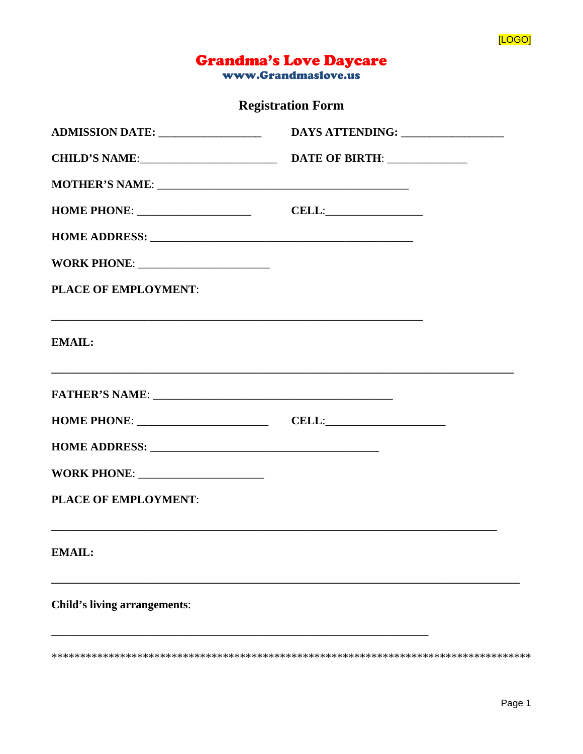

## **Grandma's Love Daycare**

www.Grandmaslove.us

**Registration Form** 

| ADMISSION DATE: _______________                                                                                                   | DAYS ATTENDING:                          |  |
|-----------------------------------------------------------------------------------------------------------------------------------|------------------------------------------|--|
|                                                                                                                                   | CHILD'S NAME: DATE OF BIRTH: ___________ |  |
|                                                                                                                                   |                                          |  |
|                                                                                                                                   | $\text{CELL:}\n$                         |  |
|                                                                                                                                   |                                          |  |
|                                                                                                                                   |                                          |  |
| <b>PLACE OF EMPLOYMENT:</b>                                                                                                       |                                          |  |
| and the control of the control of the control of the control of the control of the control of the control of the<br><b>EMAIL:</b> |                                          |  |
|                                                                                                                                   |                                          |  |
|                                                                                                                                   |                                          |  |
|                                                                                                                                   |                                          |  |
|                                                                                                                                   |                                          |  |
| PLACE OF EMPLOYMENT:                                                                                                              |                                          |  |
| <b>EMAIL:</b>                                                                                                                     |                                          |  |
| <b>Child's living arrangements:</b>                                                                                               |                                          |  |
|                                                                                                                                   |                                          |  |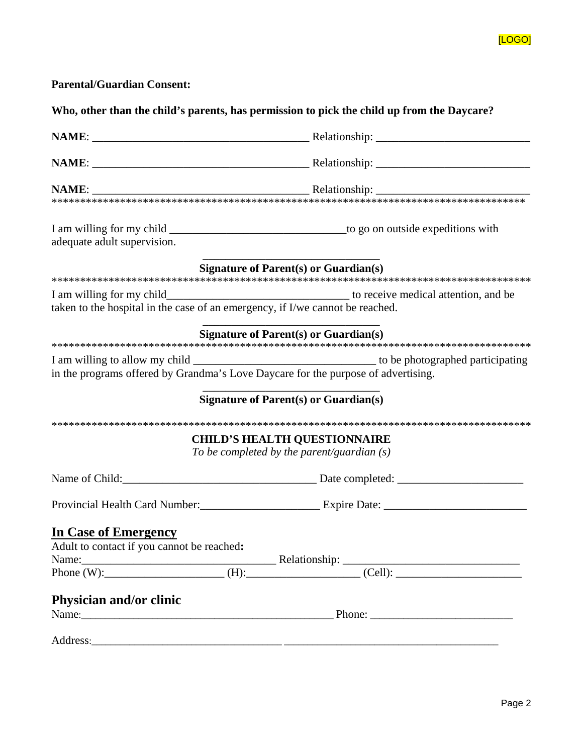

**Parental/Guardian Consent:** 

**Who, other than the child's parents, has permission to pick the child up from the Daycare?** 

| adequate adult supervision.                                                       |                                              |
|-----------------------------------------------------------------------------------|----------------------------------------------|
|                                                                                   | <b>Signature of Parent(s) or Guardian(s)</b> |
|                                                                                   |                                              |
|                                                                                   |                                              |
|                                                                                   | <b>Signature of Parent(s) or Guardian(s)</b> |
|                                                                                   |                                              |
| in the programs offered by Grandma's Love Daycare for the purpose of advertising. |                                              |
|                                                                                   | <b>Signature of Parent(s) or Guardian(s)</b> |
|                                                                                   |                                              |
|                                                                                   | <b>CHILD'S HEALTH QUESTIONNAIRE</b>          |
|                                                                                   | To be completed by the parent/guardian $(s)$ |
|                                                                                   | Name of Child:<br><u>Date completed:</u>     |
|                                                                                   |                                              |
| <b>In Case of Emergency</b>                                                       |                                              |
| Adult to contact if you cannot be reached:                                        |                                              |
|                                                                                   |                                              |
|                                                                                   |                                              |
| Physician and/or clinic                                                           |                                              |
|                                                                                   |                                              |
|                                                                                   |                                              |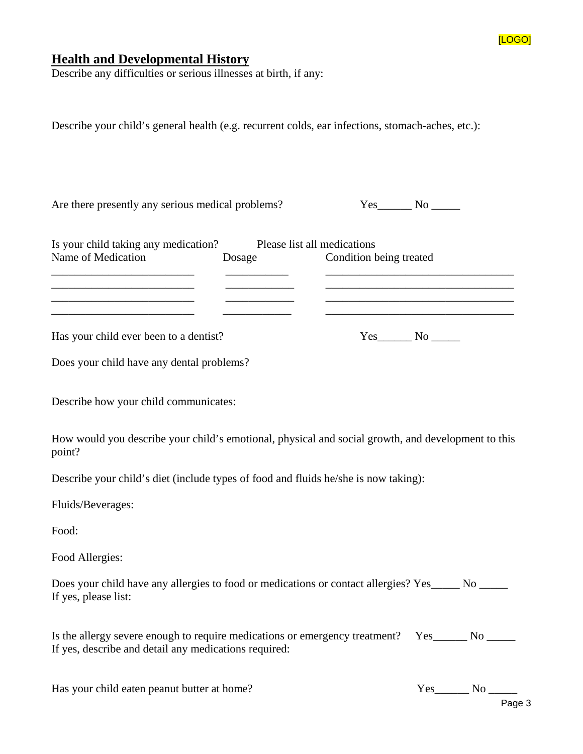

## **Health and Developmental History**

Describe any difficulties or serious illnesses at birth, if any:

Describe your child's general health (e.g. recurrent colds, ear infections, stomach-aches, etc.): Are there presently any serious medical problems? Yes No No  $\gamma$ Is your child taking any medication? Please list all medications Name of Medication Dosage Condition being treated \_\_\_\_\_\_\_\_\_\_\_\_\_\_\_\_\_\_\_\_\_\_\_\_\_ \_\_\_\_\_\_\_\_\_\_\_ \_\_\_\_\_\_\_\_\_\_\_\_\_\_\_\_\_\_\_\_\_\_\_\_\_\_\_\_\_\_\_\_\_ \_\_\_\_\_\_\_\_\_\_\_\_\_\_\_\_\_\_\_\_\_\_\_\_\_ \_\_\_\_\_\_\_\_\_\_\_\_ \_\_\_\_\_\_\_\_\_\_\_\_\_\_\_\_\_\_\_\_\_\_\_\_\_\_\_\_\_\_\_\_\_ \_\_\_\_\_\_\_\_\_\_\_\_\_\_\_\_\_\_\_\_\_\_\_\_\_ \_\_\_\_\_\_\_\_\_\_\_\_ \_\_\_\_\_\_\_\_\_\_\_\_\_\_\_\_\_\_\_\_\_\_\_\_\_\_\_\_\_\_\_\_\_ Has your child ever been to a dentist? Yes\_\_\_\_\_\_ No \_\_\_\_\_\_ Does your child have any dental problems? Describe how your child communicates: How would you describe your child's emotional, physical and social growth, and development to this point? Describe your child's diet (include types of food and fluids he/she is now taking): Fluids/Beverages: Food: Food Allergies: Does your child have any allergies to food or medications or contact allergies? Yes\_\_\_\_\_ No \_\_\_\_\_ If yes, please list: Is the allergy severe enough to require medications or emergency treatment? Yes\_\_\_\_\_\_ No \_\_\_\_\_ If yes, describe and detail any medications required: Has your child eaten peanut butter at home? Yes\_\_\_\_\_\_ No \_\_\_\_\_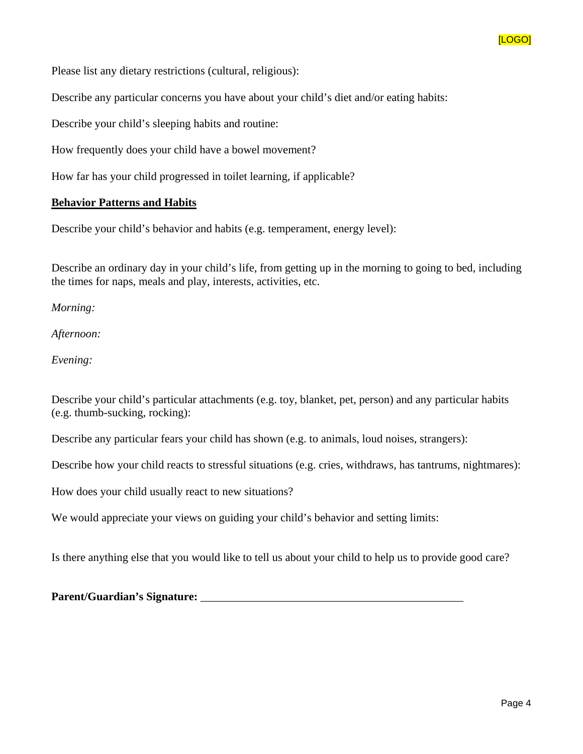

Please list any dietary restrictions (cultural, religious):

Describe any particular concerns you have about your child's diet and/or eating habits:

Describe your child's sleeping habits and routine:

How frequently does your child have a bowel movement?

How far has your child progressed in toilet learning, if applicable?

## **Behavior Patterns and Habits**

Describe your child's behavior and habits (e.g. temperament, energy level):

Describe an ordinary day in your child's life, from getting up in the morning to going to bed, including the times for naps, meals and play, interests, activities, etc.

*Morning:* 

*Afternoon:* 

*Evening:*

Describe your child's particular attachments (e.g. toy, blanket, pet, person) and any particular habits (e.g. thumb-sucking, rocking):

Describe any particular fears your child has shown (e.g. to animals, loud noises, strangers):

Describe how your child reacts to stressful situations (e.g. cries, withdraws, has tantrums, nightmares):

How does your child usually react to new situations?

We would appreciate your views on guiding your child's behavior and setting limits:

Is there anything else that you would like to tell us about your child to help us to provide good care?

**Parent/Guardian's Signature:** \_\_\_\_\_\_\_\_\_\_\_\_\_\_\_\_\_\_\_\_\_\_\_\_\_\_\_\_\_\_\_\_\_\_\_\_\_\_\_\_\_\_\_\_\_\_